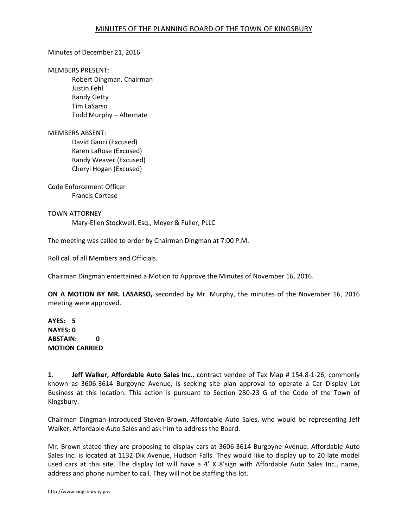### Minutes of December 21, 2016

#### MEMBERS PRESENT:

Robert Dingman, Chairman Justin Fehl Randy Getty Tim LaSarso Todd Murphy – Alternate

### MEMBERS ABSENT:

 David Gauci (Excused) Karen LaRose (Excused) Randy Weaver (Excused) Cheryl Hogan (Excused)

Code Enforcement Officer Francis Cortese

## TOWN ATTORNEY

Mary-Ellen Stockwell, Esq., Meyer & Fuller, PLLC

The meeting was called to order by Chairman Dingman at 7:00 P.M.

Roll call of all Members and Officials.

Chairman Dingman entertained a Motion to Approve the Minutes of November 16, 2016.

**ON A MOTION BY MR. LASARSO,** seconded by Mr. Murphy, the minutes of the November 16, 2016 meeting were approved.

**AYES: 5 NAYES: 0 ABSTAIN: 0 MOTION CARRIED** 

**1. Jeff Walker, Affordable Auto Sales Inc**., contract vendee of Tax Map # 154.8-1-26, commonly known as 3606-3614 Burgoyne Avenue, is seeking site plan approval to operate a Car Display Lot Business at this location. This action is pursuant to Section 280-23 G of the Code of the Town of Kingsbury.

Chairman Dingman introduced Steven Brown, Affordable Auto Sales, who would be representing Jeff Walker, Affordable Auto Sales and ask him to address the Board.

Mr. Brown stated they are proposing to display cars at 3606-3614 Burgoyne Avenue. Affordable Auto Sales Inc. is located at 1132 Dix Avenue, Hudson Falls. They would like to display up to 20 late model used cars at this site. The display lot will have a 4' X 8'sign with Affordable Auto Sales Inc., name, address and phone number to call. They will not be staffing this lot.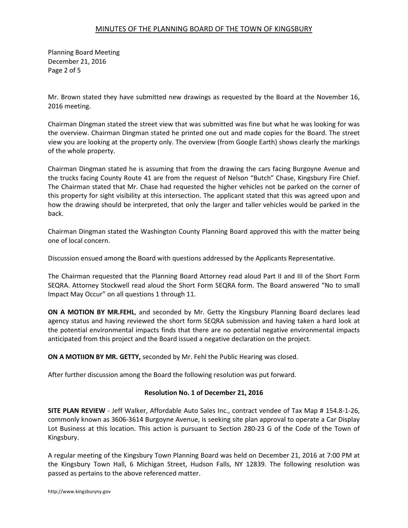## MINUTES OF THE PLANNING BOARD OF THE TOWN OF KINGSBURY

Planning Board Meeting December 21, 2016 Page 2 of 5

Mr. Brown stated they have submitted new drawings as requested by the Board at the November 16, 2016 meeting.

Chairman Dingman stated the street view that was submitted was fine but what he was looking for was the overview. Chairman Dingman stated he printed one out and made copies for the Board. The street view you are looking at the property only. The overview (from Google Earth) shows clearly the markings of the whole property.

Chairman Dingman stated he is assuming that from the drawing the cars facing Burgoyne Avenue and the trucks facing County Route 41 are from the request of Nelson "Butch" Chase, Kingsbury Fire Chief. The Chairman stated that Mr. Chase had requested the higher vehicles not be parked on the corner of this property for sight visibility at this intersection. The applicant stated that this was agreed upon and how the drawing should be interpreted, that only the larger and taller vehicles would be parked in the back.

Chairman Dingman stated the Washington County Planning Board approved this with the matter being one of local concern.

Discussion ensued among the Board with questions addressed by the Applicants Representative.

The Chairman requested that the Planning Board Attorney read aloud Part II and III of the Short Form SEQRA. Attorney Stockwell read aloud the Short Form SEQRA form. The Board answered "No to small Impact May Occur" on all questions 1 through 11.

**ON A MOTION BY MR.FEHL**, and seconded by Mr. Getty the Kingsbury Planning Board declares lead agency status and having reviewed the short form SEQRA submission and having taken a hard look at the potential environmental impacts finds that there are no potential negative environmental impacts anticipated from this project and the Board issued a negative declaration on the project.

**ON A MOTIION BY MR. GETTY,** seconded by Mr. Fehl the Public Hearing was closed.

After further discussion among the Board the following resolution was put forward.

## **Resolution No. 1 of December 21, 2016**

**SITE PLAN REVIEW** - Jeff Walker, Affordable Auto Sales Inc., contract vendee of Tax Map # 154.8-1-26, commonly known as 3606-3614 Burgoyne Avenue, is seeking site plan approval to operate a Car Display Lot Business at this location. This action is pursuant to Section 280-23 G of the Code of the Town of Kingsbury.

A regular meeting of the Kingsbury Town Planning Board was held on December 21, 2016 at 7:00 PM at the Kingsbury Town Hall, 6 Michigan Street, Hudson Falls, NY 12839. The following resolution was passed as pertains to the above referenced matter.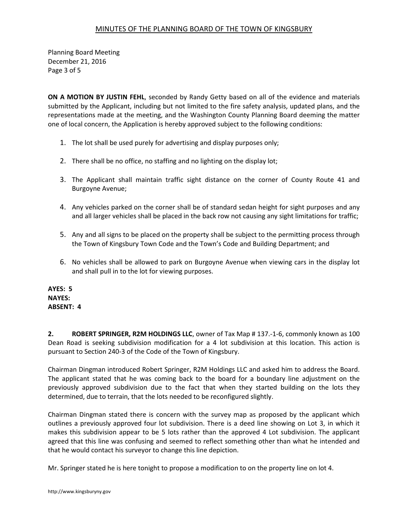# MINUTES OF THE PLANNING BOARD OF THE TOWN OF KINGSBURY

Planning Board Meeting December 21, 2016 Page 3 of 5

**ON A MOTION BY JUSTIN FEHL**, seconded by Randy Getty based on all of the evidence and materials submitted by the Applicant, including but not limited to the fire safety analysis, updated plans, and the representations made at the meeting, and the Washington County Planning Board deeming the matter one of local concern, the Application is hereby approved subject to the following conditions:

- 1. The lot shall be used purely for advertising and display purposes only;
- 2. There shall be no office, no staffing and no lighting on the display lot;
- 3. The Applicant shall maintain traffic sight distance on the corner of County Route 41 and Burgoyne Avenue;
- 4. Any vehicles parked on the corner shall be of standard sedan height for sight purposes and any and all larger vehicles shall be placed in the back row not causing any sight limitations for traffic;
- 5. Any and all signs to be placed on the property shall be subject to the permitting process through the Town of Kingsbury Town Code and the Town's Code and Building Department; and
- 6. No vehicles shall be allowed to park on Burgoyne Avenue when viewing cars in the display lot and shall pull in to the lot for viewing purposes.

**AYES: 5 NAYES: ABSENT: 4** 

**2. ROBERT SPRINGER, R2M HOLDINGS LLC**, owner of Tax Map # 137.-1-6, commonly known as 100 Dean Road is seeking subdivision modification for a 4 lot subdivision at this location. This action is pursuant to Section 240-3 of the Code of the Town of Kingsbury.

Chairman Dingman introduced Robert Springer, R2M Holdings LLC and asked him to address the Board. The applicant stated that he was coming back to the board for a boundary line adjustment on the previously approved subdivision due to the fact that when they started building on the lots they determined, due to terrain, that the lots needed to be reconfigured slightly.

Chairman Dingman stated there is concern with the survey map as proposed by the applicant which outlines a previously approved four lot subdivision. There is a deed line showing on Lot 3, in which it makes this subdivision appear to be 5 lots rather than the approved 4 Lot subdivision. The applicant agreed that this line was confusing and seemed to reflect something other than what he intended and that he would contact his surveyor to change this line depiction.

Mr. Springer stated he is here tonight to propose a modification to on the property line on lot 4.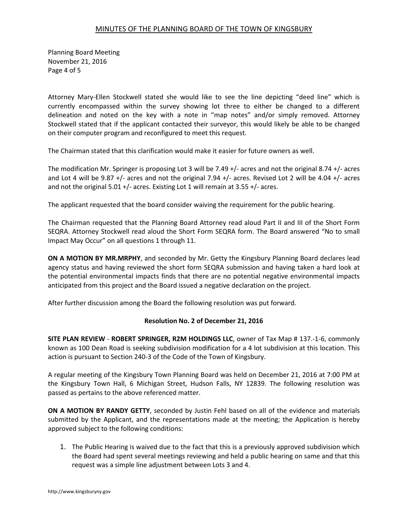Planning Board Meeting November 21, 2016 Page 4 of 5

Attorney Mary-Ellen Stockwell stated she would like to see the line depicting "deed line" which is currently encompassed within the survey showing lot three to either be changed to a different delineation and noted on the key with a note in "map notes" and/or simply removed. Attorney Stockwell stated that if the applicant contacted their surveyor, this would likely be able to be changed on their computer program and reconfigured to meet this request.

The Chairman stated that this clarification would make it easier for future owners as well.

The modification Mr. Springer is proposing Lot 3 will be 7.49 +/- acres and not the original 8.74 +/- acres and Lot 4 will be 9.87 +/- acres and not the original 7.94 +/- acres. Revised Lot 2 will be 4.04 +/- acres and not the original 5.01 +/- acres. Existing Lot 1 will remain at 3.55 +/- acres.

The applicant requested that the board consider waiving the requirement for the public hearing.

The Chairman requested that the Planning Board Attorney read aloud Part II and III of the Short Form SEQRA. Attorney Stockwell read aloud the Short Form SEQRA form. The Board answered "No to small Impact May Occur" on all questions 1 through 11.

**ON A MOTION BY MR.MRPHY**, and seconded by Mr. Getty the Kingsbury Planning Board declares lead agency status and having reviewed the short form SEQRA submission and having taken a hard look at the potential environmental impacts finds that there are no potential negative environmental impacts anticipated from this project and the Board issued a negative declaration on the project.

After further discussion among the Board the following resolution was put forward.

## **Resolution No. 2 of December 21, 2016**

**SITE PLAN REVIEW** - **ROBERT SPRINGER, R2M HOLDINGS LLC**, owner of Tax Map # 137.-1-6, commonly known as 100 Dean Road is seeking subdivision modification for a 4 lot subdivision at this location. This action is pursuant to Section 240-3 of the Code of the Town of Kingsbury.

A regular meeting of the Kingsbury Town Planning Board was held on December 21, 2016 at 7:00 PM at the Kingsbury Town Hall, 6 Michigan Street, Hudson Falls, NY 12839. The following resolution was passed as pertains to the above referenced matter.

**ON A MOTION BY RANDY GETTY**, seconded by Justin Fehl based on all of the evidence and materials submitted by the Applicant, and the representations made at the meeting; the Application is hereby approved subject to the following conditions:

1. The Public Hearing is waived due to the fact that this is a previously approved subdivision which the Board had spent several meetings reviewing and held a public hearing on same and that this request was a simple line adjustment between Lots 3 and 4.